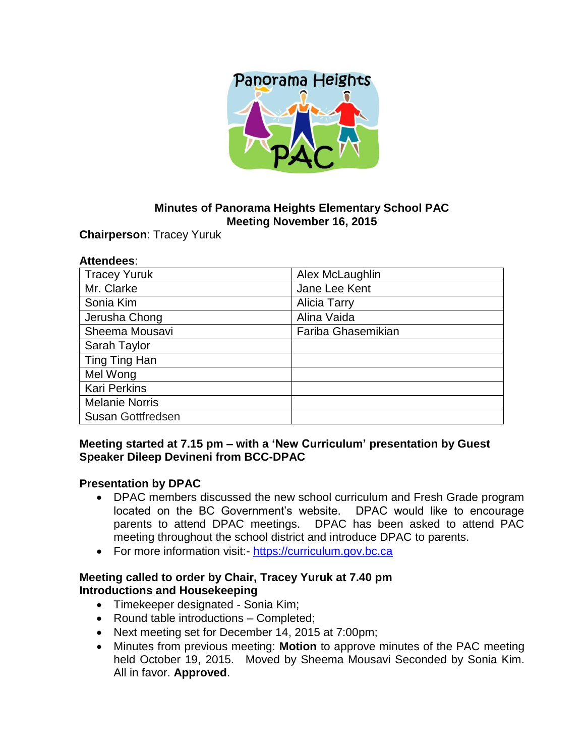

# **Minutes of Panorama Heights Elementary School PAC Meeting November 16, 2015**

**Chairperson**: Tracey Yuruk

#### **Attendees**:

| <b>Tracey Yuruk</b>      | Alex McLaughlin     |
|--------------------------|---------------------|
| Mr. Clarke               | Jane Lee Kent       |
| Sonia Kim                | <b>Alicia Tarry</b> |
| Jerusha Chong            | Alina Vaida         |
| Sheema Mousavi           | Fariba Ghasemikian  |
| Sarah Taylor             |                     |
| Ting Ting Han            |                     |
| Mel Wong                 |                     |
| <b>Kari Perkins</b>      |                     |
| <b>Melanie Norris</b>    |                     |
| <b>Susan Gottfredsen</b> |                     |

### **Meeting started at 7.15 pm – with a 'New Curriculum' presentation by Guest Speaker Dileep Devineni from BCC-DPAC**

#### **Presentation by DPAC**

- DPAC members discussed the new school curriculum and Fresh Grade program located on the BC Government's website. DPAC would like to encourage parents to attend DPAC meetings. DPAC has been asked to attend PAC meeting throughout the school district and introduce DPAC to parents.
- For more information visit: [https://curriculum.gov.bc.ca](https://curriculum.gov.bc.ca/)

### **Meeting called to order by Chair, Tracey Yuruk at 7.40 pm Introductions and Housekeeping**

- Timekeeper designated Sonia Kim;
- Round table introductions Completed;
- Next meeting set for December 14, 2015 at 7:00pm;
- Minutes from previous meeting: **Motion** to approve minutes of the PAC meeting held October 19, 2015. Moved by Sheema Mousavi Seconded by Sonia Kim. All in favor. **Approved**.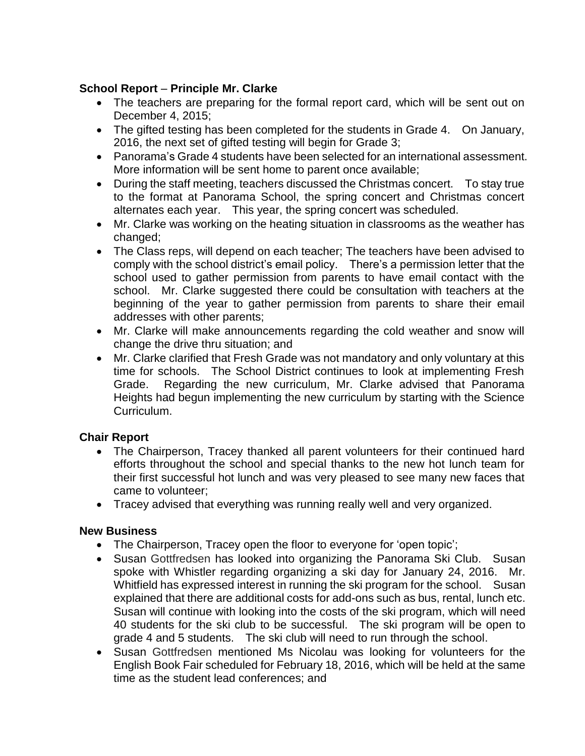# **School Report** – **Principle Mr. Clarke**

- The teachers are preparing for the formal report card, which will be sent out on December 4, 2015;
- The gifted testing has been completed for the students in Grade 4. On January, 2016, the next set of gifted testing will begin for Grade 3;
- Panorama's Grade 4 students have been selected for an international assessment. More information will be sent home to parent once available;
- During the staff meeting, teachers discussed the Christmas concert. To stay true to the format at Panorama School, the spring concert and Christmas concert alternates each year. This year, the spring concert was scheduled.
- Mr. Clarke was working on the heating situation in classrooms as the weather has changed:
- The Class reps, will depend on each teacher; The teachers have been advised to comply with the school district's email policy. There's a permission letter that the school used to gather permission from parents to have email contact with the school. Mr. Clarke suggested there could be consultation with teachers at the beginning of the year to gather permission from parents to share their email addresses with other parents;
- Mr. Clarke will make announcements regarding the cold weather and snow will change the drive thru situation; and
- Mr. Clarke clarified that Fresh Grade was not mandatory and only voluntary at this time for schools. The School District continues to look at implementing Fresh Grade. Regarding the new curriculum, Mr. Clarke advised that Panorama Heights had begun implementing the new curriculum by starting with the Science Curriculum.

# **Chair Report**

- The Chairperson, Tracey thanked all parent volunteers for their continued hard efforts throughout the school and special thanks to the new hot lunch team for their first successful hot lunch and was very pleased to see many new faces that came to volunteer;
- Tracey advised that everything was running really well and very organized.

### **New Business**

- The Chairperson, Tracey open the floor to everyone for 'open topic';
- Susan Gottfredsen has looked into organizing the Panorama Ski Club. Susan spoke with Whistler regarding organizing a ski day for January 24, 2016. Mr. Whitfield has expressed interest in running the ski program for the school. Susan explained that there are additional costs for add-ons such as bus, rental, lunch etc. Susan will continue with looking into the costs of the ski program, which will need 40 students for the ski club to be successful. The ski program will be open to grade 4 and 5 students. The ski club will need to run through the school.
- Susan Gottfredsen mentioned Ms Nicolau was looking for volunteers for the English Book Fair scheduled for February 18, 2016, which will be held at the same time as the student lead conferences; and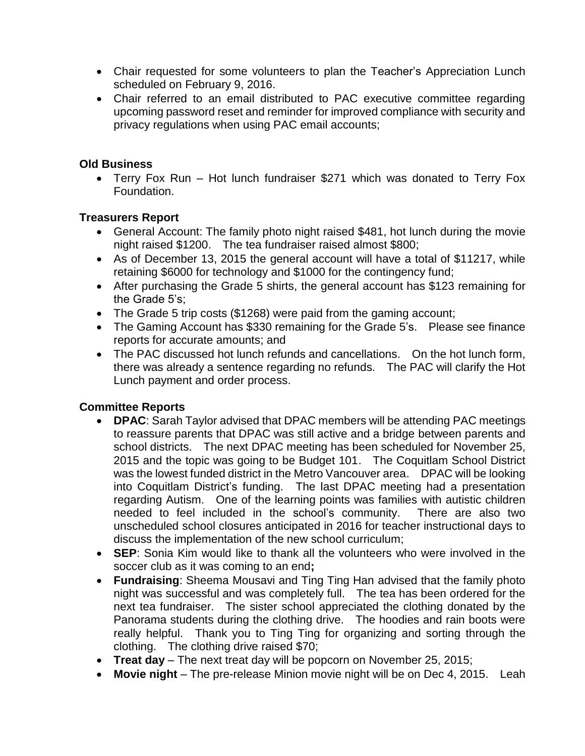- Chair requested for some volunteers to plan the Teacher's Appreciation Lunch scheduled on February 9, 2016.
- Chair referred to an email distributed to PAC executive committee regarding upcoming password reset and reminder for improved compliance with security and privacy regulations when using PAC email accounts;

## **Old Business**

 Terry Fox Run – Hot lunch fundraiser \$271 which was donated to Terry Fox Foundation.

## **Treasurers Report**

- General Account: The family photo night raised \$481, hot lunch during the movie night raised \$1200. The tea fundraiser raised almost \$800;
- As of December 13, 2015 the general account will have a total of \$11217, while retaining \$6000 for technology and \$1000 for the contingency fund;
- After purchasing the Grade 5 shirts, the general account has \$123 remaining for the Grade 5's;
- The Grade 5 trip costs (\$1268) were paid from the gaming account;
- The Gaming Account has \$330 remaining for the Grade 5's. Please see finance reports for accurate amounts; and
- The PAC discussed hot lunch refunds and cancellations. On the hot lunch form, there was already a sentence regarding no refunds. The PAC will clarify the Hot Lunch payment and order process.

# **Committee Reports**

- **DPAC**: Sarah Taylor advised that DPAC members will be attending PAC meetings to reassure parents that DPAC was still active and a bridge between parents and school districts. The next DPAC meeting has been scheduled for November 25, 2015 and the topic was going to be Budget 101. The Coquitlam School District was the lowest funded district in the Metro Vancouver area. DPAC will be looking into Coquitlam District's funding. The last DPAC meeting had a presentation regarding Autism. One of the learning points was families with autistic children needed to feel included in the school's community. There are also two unscheduled school closures anticipated in 2016 for teacher instructional days to discuss the implementation of the new school curriculum;
- **SEP**: Sonia Kim would like to thank all the volunteers who were involved in the soccer club as it was coming to an end**;**
- **Fundraising**: Sheema Mousavi and Ting Ting Han advised that the family photo night was successful and was completely full. The tea has been ordered for the next tea fundraiser. The sister school appreciated the clothing donated by the Panorama students during the clothing drive. The hoodies and rain boots were really helpful. Thank you to Ting Ting for organizing and sorting through the clothing. The clothing drive raised \$70;
- **Treat day**  The next treat day will be popcorn on November 25, 2015;
- **Movie night**  The pre-release Minion movie night will be on Dec 4, 2015. Leah